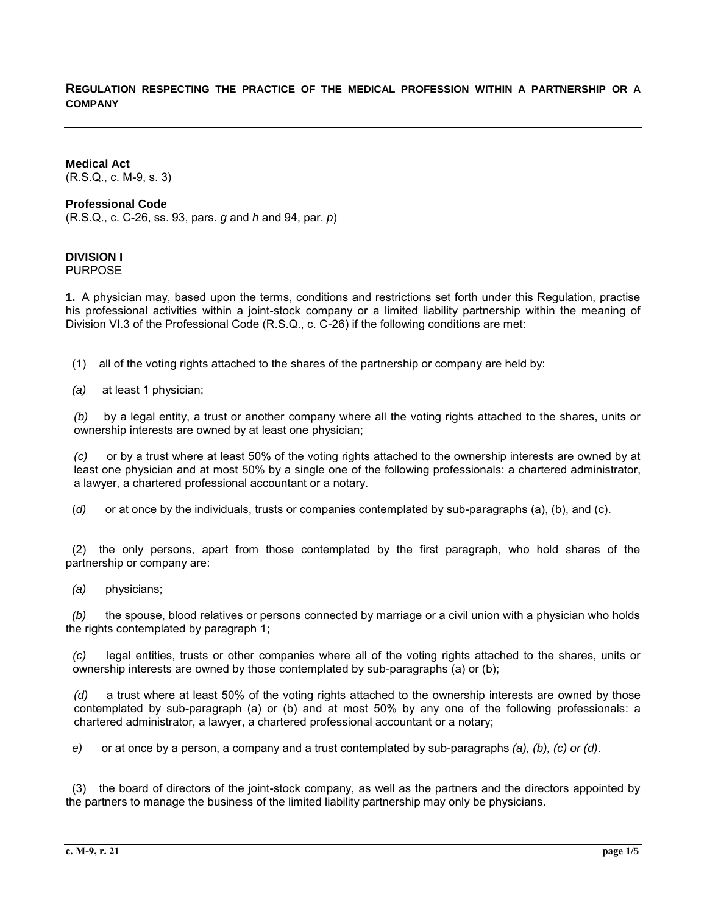## **REGULATION RESPECTING THE PRACTICE OF THE MEDICAL PROFESSION WITHIN A PARTNERSHIP OR A COMPANY**

**Medical Act** (R.S.Q., c. M-9, s. 3)

#### **Professional Code**

(R.S.Q., c. C-26, ss. 93, pars. *g* and *h* and 94, par. *p*)

# **DIVISION I**

PURPOSE

**1.** A physician may, based upon the terms, conditions and restrictions set forth under this Regulation, practise his professional activities within a joint-stock company or a limited liability partnership within the meaning of Division VI.3 of the Professional Code (R.S.Q., c. C-26) if the following conditions are met:

(1) all of the voting rights attached to the shares of the partnership or company are held by:

*(a)* at least 1 physician;

*(b)* by a legal entity, a trust or another company where all the voting rights attached to the shares, units or ownership interests are owned by at least one physician;

*(c)* or by a trust where at least 50% of the voting rights attached to the ownership interests are owned by at least one physician and at most 50% by a single one of the following professionals: a chartered administrator, a lawyer, a chartered professional accountant or a notary.

(*d)* or at once by the individuals, trusts or companies contemplated by sub-paragraphs (a), (b), and (c).

 (2) the only persons, apart from those contemplated by the first paragraph, who hold shares of the partnership or company are:

*(a)* physicians;

 *(b)* the spouse, blood relatives or persons connected by marriage or a civil union with a physician who holds the rights contemplated by paragraph 1;

*(c)* legal entities, trusts or other companies where all of the voting rights attached to the shares, units or ownership interests are owned by those contemplated by sub-paragraphs (a) or (b);

*(d)* a trust where at least 50% of the voting rights attached to the ownership interests are owned by those contemplated by sub-paragraph (a) or (b) and at most 50% by any one of the following professionals: a chartered administrator, a lawyer, a chartered professional accountant or a notary;

*e)* or at once by a person, a company and a trust contemplated by sub-paragraphs *(a), (b), (c) or (d)*.

 (3) the board of directors of the joint-stock company, as well as the partners and the directors appointed by the partners to manage the business of the limited liability partnership may only be physicians.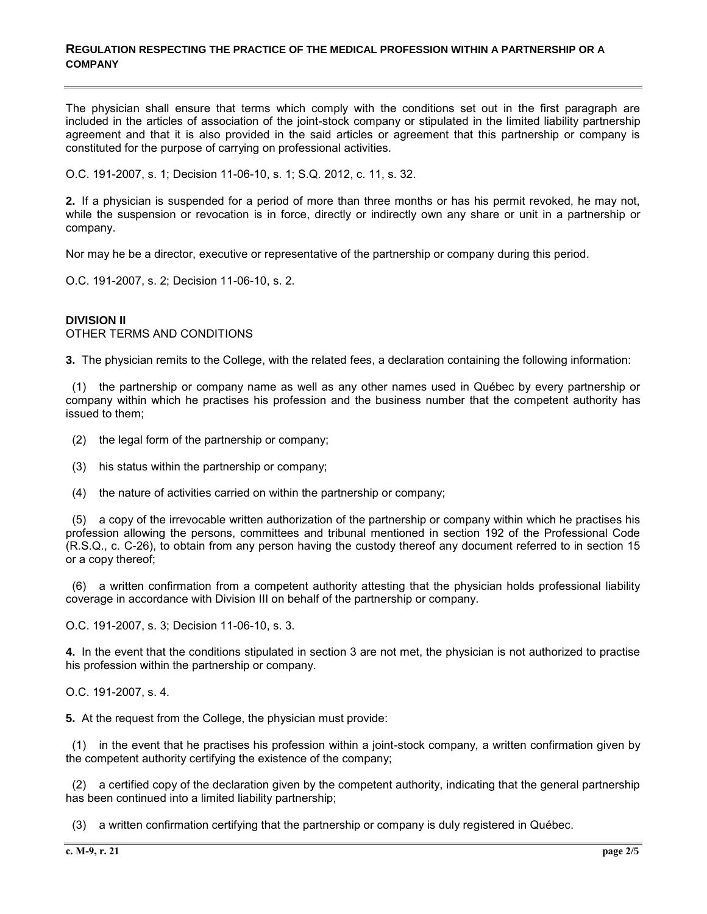#### **REGULATION RESPECTING THE PRACTICE OF THE MEDICAL PROFESSION WITHIN A PARTNERSHIP OR A COMPANY**

The physician shall ensure that terms which comply with the conditions set out in the first paragraph are included in the articles of association of the joint-stock company or stipulated in the limited liability partnership agreement and that it is also provided in the said articles or agreement that this partnership or company is constituted for the purpose of carrying on professional activities.

O.C. 191-2007, s. 1; Decision 11-06-10, s. 1; S.Q. 2012, c. 11, s. 32.

**2.** If a physician is suspended for a period of more than three months or has his permit revoked, he may not, while the suspension or revocation is in force, directly or indirectly own any share or unit in a partnership or company.

Nor may he be a director, executive or representative of the partnership or company during this period.

O.C. 191-2007, s. 2; Decision 11-06-10, s. 2.

### **DIVISION II** OTHER TERMS AND CONDITIONS

**3.** The physician remits to the College, with the related fees, a declaration containing the following information:

 (1) the partnership or company name as well as any other names used in Québec by every partnership or company within which he practises his profession and the business number that the competent authority has issued to them;

- (2) the legal form of the partnership or company;
- (3) his status within the partnership or company;
- (4) the nature of activities carried on within the partnership or company;

 (5) a copy of the irrevocable written authorization of the partnership or company within which he practises his profession allowing the persons, committees and tribunal mentioned in section 192 of the Professional Code (R.S.Q., c. C-26), to obtain from any person having the custody thereof any document referred to in section 15 or a copy thereof;

 (6) a written confirmation from a competent authority attesting that the physician holds professional liability coverage in accordance with Division III on behalf of the partnership or company.

O.C. 191-2007, s. 3; Decision 11-06-10, s. 3.

**4.** In the event that the conditions stipulated in section 3 are not met, the physician is not authorized to practise his profession within the partnership or company.

O.C. 191-2007, s. 4.

**5.** At the request from the College, the physician must provide:

 (1) in the event that he practises his profession within a joint-stock company, a written confirmation given by the competent authority certifying the existence of the company;

 (2) a certified copy of the declaration given by the competent authority, indicating that the general partnership has been continued into a limited liability partnership;

(3) a written confirmation certifying that the partnership or company is duly registered in Québec.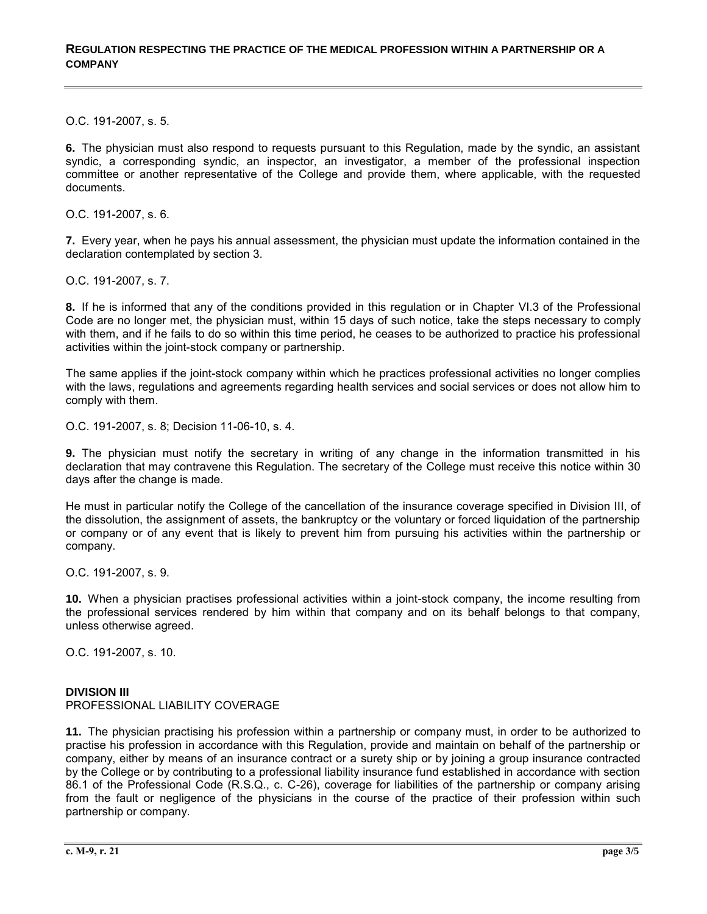O.C. 191-2007, s. 5.

**6.** The physician must also respond to requests pursuant to this Regulation, made by the syndic, an assistant syndic, a corresponding syndic, an inspector, an investigator, a member of the professional inspection committee or another representative of the College and provide them, where applicable, with the requested documents.

O.C. 191-2007, s. 6.

**7.** Every year, when he pays his annual assessment, the physician must update the information contained in the declaration contemplated by section 3.

O.C. 191-2007, s. 7.

**8.** If he is informed that any of the conditions provided in this regulation or in Chapter VI.3 of the Professional Code are no longer met, the physician must, within 15 days of such notice, take the steps necessary to comply with them, and if he fails to do so within this time period, he ceases to be authorized to practice his professional activities within the joint-stock company or partnership.

The same applies if the joint-stock company within which he practices professional activities no longer complies with the laws, regulations and agreements regarding health services and social services or does not allow him to comply with them.

O.C. 191-2007, s. 8; Decision 11-06-10, s. 4.

**9.** The physician must notify the secretary in writing of any change in the information transmitted in his declaration that may contravene this Regulation. The secretary of the College must receive this notice within 30 days after the change is made.

He must in particular notify the College of the cancellation of the insurance coverage specified in Division III, of the dissolution, the assignment of assets, the bankruptcy or the voluntary or forced liquidation of the partnership or company or of any event that is likely to prevent him from pursuing his activities within the partnership or company.

O.C. 191-2007, s. 9.

**10.** When a physician practises professional activities within a joint-stock company, the income resulting from the professional services rendered by him within that company and on its behalf belongs to that company, unless otherwise agreed.

O.C. 191-2007, s. 10.

## **DIVISION III**

## PROFESSIONAL LIABILITY COVERAGE

**11.** The physician practising his profession within a partnership or company must, in order to be authorized to practise his profession in accordance with this Regulation, provide and maintain on behalf of the partnership or company, either by means of an insurance contract or a surety ship or by joining a group insurance contracted by the College or by contributing to a professional liability insurance fund established in accordance with section 86.1 of the Professional Code (R.S.Q., c. C-26), coverage for liabilities of the partnership or company arising from the fault or negligence of the physicians in the course of the practice of their profession within such partnership or company.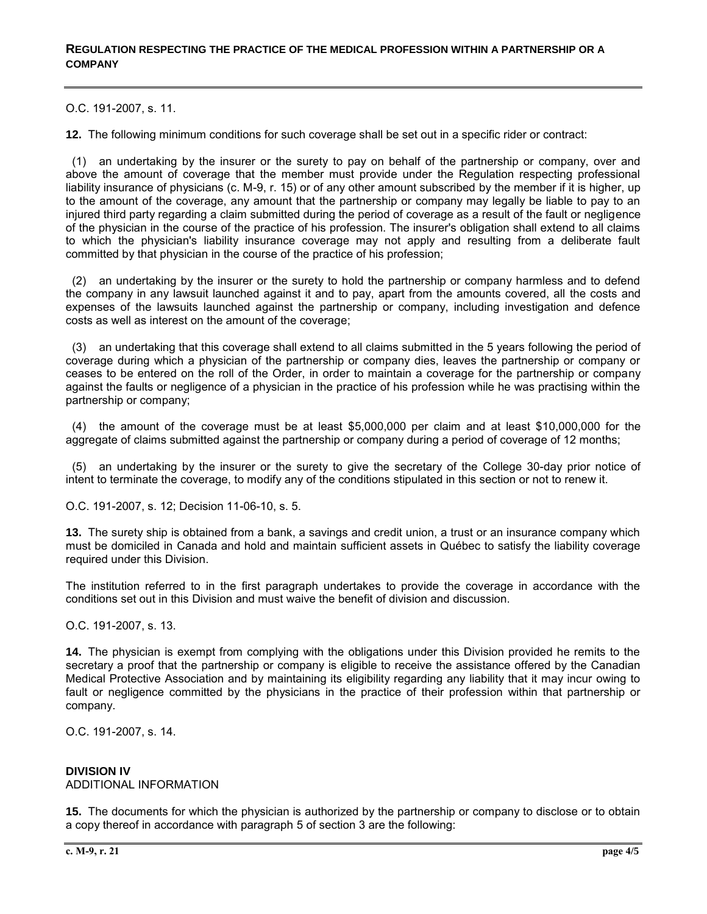O.C. 191-2007, s. 11.

**12.** The following minimum conditions for such coverage shall be set out in a specific rider or contract:

 (1) an undertaking by the insurer or the surety to pay on behalf of the partnership or company, over and above the amount of coverage that the member must provide under the Regulation respecting professional liability insurance of physicians (c. M-9, r. 15) or of any other amount subscribed by the member if it is higher, up to the amount of the coverage, any amount that the partnership or company may legally be liable to pay to an injured third party regarding a claim submitted during the period of coverage as a result of the fault or negligence of the physician in the course of the practice of his profession. The insurer's obligation shall extend to all claims to which the physician's liability insurance coverage may not apply and resulting from a deliberate fault committed by that physician in the course of the practice of his profession;

 (2) an undertaking by the insurer or the surety to hold the partnership or company harmless and to defend the company in any lawsuit launched against it and to pay, apart from the amounts covered, all the costs and expenses of the lawsuits launched against the partnership or company, including investigation and defence costs as well as interest on the amount of the coverage;

 (3) an undertaking that this coverage shall extend to all claims submitted in the 5 years following the period of coverage during which a physician of the partnership or company dies, leaves the partnership or company or ceases to be entered on the roll of the Order, in order to maintain a coverage for the partnership or company against the faults or negligence of a physician in the practice of his profession while he was practising within the partnership or company;

 (4) the amount of the coverage must be at least \$5,000,000 per claim and at least \$10,000,000 for the aggregate of claims submitted against the partnership or company during a period of coverage of 12 months;

 (5) an undertaking by the insurer or the surety to give the secretary of the College 30-day prior notice of intent to terminate the coverage, to modify any of the conditions stipulated in this section or not to renew it.

O.C. 191-2007, s. 12; Decision 11-06-10, s. 5.

**13.** The surety ship is obtained from a bank, a savings and credit union, a trust or an insurance company which must be domiciled in Canada and hold and maintain sufficient assets in Québec to satisfy the liability coverage required under this Division.

The institution referred to in the first paragraph undertakes to provide the coverage in accordance with the conditions set out in this Division and must waive the benefit of division and discussion.

O.C. 191-2007, s. 13.

**14.** The physician is exempt from complying with the obligations under this Division provided he remits to the secretary a proof that the partnership or company is eligible to receive the assistance offered by the Canadian Medical Protective Association and by maintaining its eligibility regarding any liability that it may incur owing to fault or negligence committed by the physicians in the practice of their profession within that partnership or company.

O.C. 191-2007, s. 14.

## **DIVISION IV**

ADDITIONAL INFORMATION

**15.** The documents for which the physician is authorized by the partnership or company to disclose or to obtain a copy thereof in accordance with paragraph 5 of section 3 are the following: